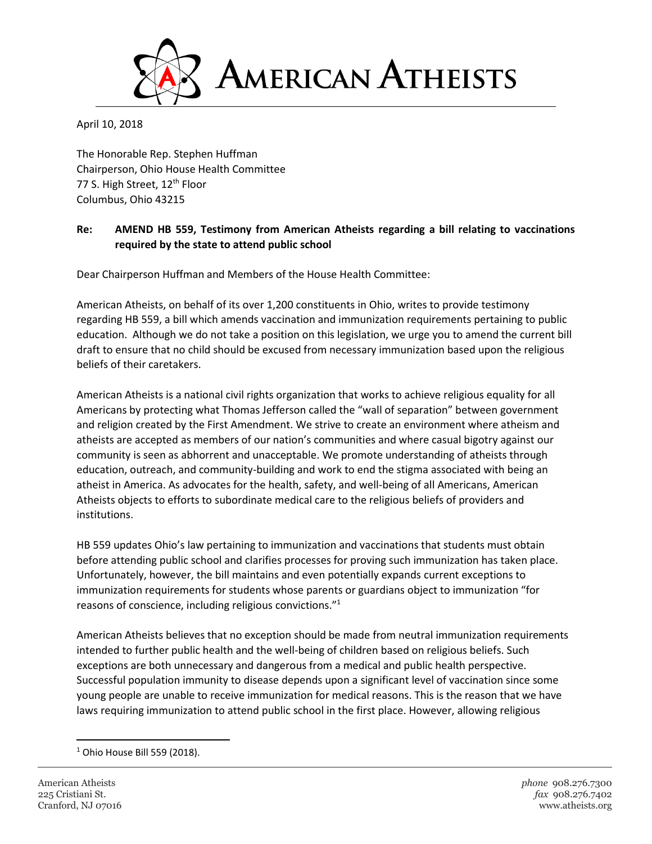

April 10, 2018

The Honorable Rep. Stephen Huffman Chairperson, Ohio House Health Committee 77 S. High Street, 12<sup>th</sup> Floor Columbus, Ohio 43215

## **Re: AMEND HB 559, Testimony from American Atheists regarding a bill relating to vaccinations required by the state to attend public school**

Dear Chairperson Huffman and Members of the House Health Committee:

American Atheists, on behalf of its over 1,200 constituents in Ohio, writes to provide testimony regarding HB 559, a bill which amends vaccination and immunization requirements pertaining to public education. Although we do not take a position on this legislation, we urge you to amend the current bill draft to ensure that no child should be excused from necessary immunization based upon the religious beliefs of their caretakers.

American Atheists is a national civil rights organization that works to achieve religious equality for all Americans by protecting what Thomas Jefferson called the "wall of separation" between government and religion created by the First Amendment. We strive to create an environment where atheism and atheists are accepted as members of our nation's communities and where casual bigotry against our community is seen as abhorrent and unacceptable. We promote understanding of atheists through education, outreach, and community-building and work to end the stigma associated with being an atheist in America. As advocates for the health, safety, and well-being of all Americans, American Atheists objects to efforts to subordinate medical care to the religious beliefs of providers and institutions.

HB 559 updates Ohio's law pertaining to immunization and vaccinations that students must obtain before attending public school and clarifies processes for proving such immunization has taken place. Unfortunately, however, the bill maintains and even potentially expands current exceptions to immunization requirements for students whose parents or guardians object to immunization "for reasons of conscience, including religious convictions."<sup>1</sup>

American Atheists believes that no exception should be made from neutral immunization requirements intended to further public health and the well-being of children based on religious beliefs. Such exceptions are both unnecessary and dangerous from a medical and public health perspective. Successful population immunity to disease depends upon a significant level of vaccination since some young people are unable to receive immunization for medical reasons. This is the reason that we have laws requiring immunization to attend public school in the first place. However, allowing religious

l

<sup>1</sup> Ohio House Bill 559 (2018).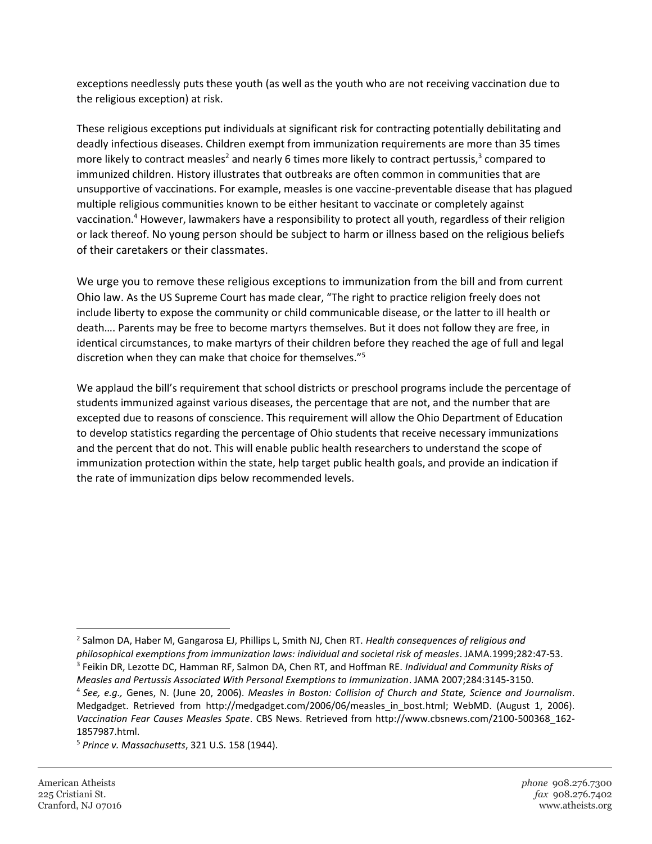exceptions needlessly puts these youth (as well as the youth who are not receiving vaccination due to the religious exception) at risk.

These religious exceptions put individuals at significant risk for contracting potentially debilitating and deadly infectious diseases. Children exempt from immunization requirements are more than 35 times more likely to contract measles<sup>2</sup> and nearly 6 times more likely to contract pertussis,<sup>3</sup> compared to immunized children. History illustrates that outbreaks are often common in communities that are unsupportive of vaccinations. For example, measles is one vaccine-preventable disease that has plagued multiple religious communities known to be either hesitant to vaccinate or completely against vaccination.<sup>4</sup> However, lawmakers have a responsibility to protect all youth, regardless of their religion or lack thereof. No young person should be subject to harm or illness based on the religious beliefs of their caretakers or their classmates.

We urge you to remove these religious exceptions to immunization from the bill and from current Ohio law. As the US Supreme Court has made clear, "The right to practice religion freely does not include liberty to expose the community or child communicable disease, or the latter to ill health or death…. Parents may be free to become martyrs themselves. But it does not follow they are free, in identical circumstances, to make martyrs of their children before they reached the age of full and legal discretion when they can make that choice for themselves."<sup>5</sup>

We applaud the bill's requirement that school districts or preschool programs include the percentage of students immunized against various diseases, the percentage that are not, and the number that are excepted due to reasons of conscience. This requirement will allow the Ohio Department of Education to develop statistics regarding the percentage of Ohio students that receive necessary immunizations and the percent that do not. This will enable public health researchers to understand the scope of immunization protection within the state, help target public health goals, and provide an indication if the rate of immunization dips below recommended levels.

 $\overline{\phantom{a}}$ 

<sup>2</sup> Salmon DA, Haber M, Gangarosa EJ, Phillips L, Smith NJ, Chen RT. *Health consequences of religious and philosophical exemptions from immunization laws: individual and societal risk of measles*. JAMA.1999;282:47-53. 3 Feikin DR, Lezotte DC, Hamman RF, Salmon DA, Chen RT, and Hoffman RE. *Individual and Community Risks of Measles and Pertussis Associated With Personal Exemptions to Immunization*. JAMA 2007;284:3145-3150. 4 *See, e.g.,* Genes, N. (June 20, 2006). *Measles in Boston: Collision of Church and State, Science and Journalism*. Medgadget. Retrieved from http://medgadget.com/2006/06/measles\_in\_bost.html; WebMD. (August 1, 2006). *Vaccination Fear Causes Measles Spate*. CBS News. Retrieved from http://www.cbsnews.com/2100-500368\_162- 1857987.html.

<sup>5</sup> *Prince v. Massachusetts*, 321 U.S. 158 (1944).